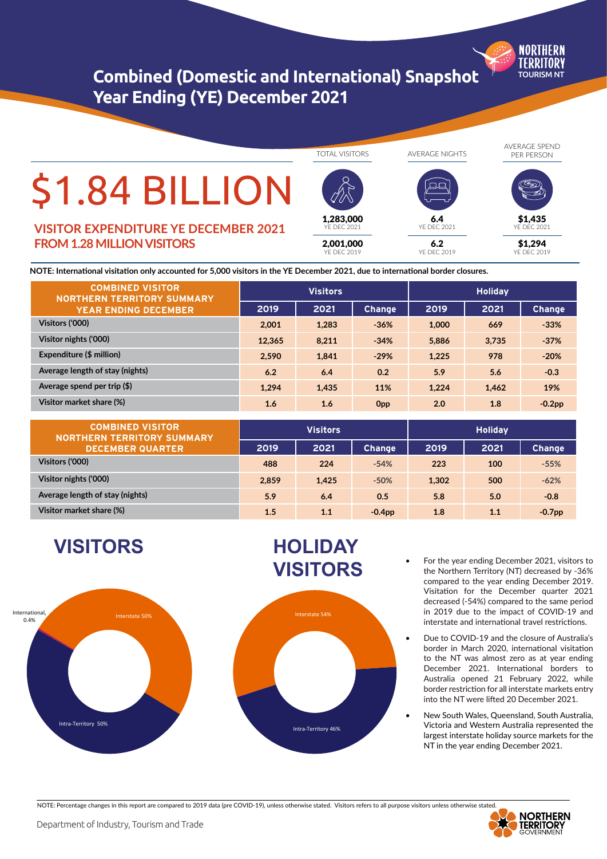### **Combined (Domestic and International) Snapshot Year Ending (YE) December 2021**



### **FROM 1.28 MILLION VISITORS VISITOR EXPENDITURE YE DECEMBER 2021**

TOTAL VISITORS

2,001,000 YE DEC 2019

1,283,000 DEC 2021

AVERAGE NIGHTS

 $6.2$ YE DE

6.4 YE DEC 2021 AVERAGE SPEND PER PERSON

TOURISM NT



\$1,294 YE DEC 2019

**NOTE: International visitation only accounted for 5,000 visitors in the YE December 2021, due to international border closures.**

| <b>COMBINED VISITOR</b><br><b>NORTHERN TERRITORY SUMMARY</b><br><b>YEAR ENDING DECEMBER</b> | <b>Visitors</b> |       |                 | <b>Holiday</b> |       |               |
|---------------------------------------------------------------------------------------------|-----------------|-------|-----------------|----------------|-------|---------------|
|                                                                                             | 2019            | 2021  | <b>Change</b>   | 2019           | 2021  | <b>Change</b> |
| Visitors ('000)                                                                             | 2,001           | 1,283 | $-36%$          | 1,000          | 669   | $-33%$        |
| Visitor nights ('000)                                                                       | 12,365          | 8.211 | $-34%$          | 5,886          | 3.735 | $-37%$        |
| Expenditure (\$ million)                                                                    | 2.590           | 1.841 | $-29%$          | 1,225          | 978   | $-20%$        |
| Average length of stay (nights)                                                             | 6.2             | 6.4   | 0.2             | 5.9            | 5.6   | $-0.3$        |
| Average spend per trip $(\$)$                                                               | 1.294           | 1,435 | 11%             | 1.224          | 1,462 | 19%           |
| Visitor market share (%)                                                                    | 1.6             | 1.6   | 0 <sub>pp</sub> | 2.0            | 1.8   | $-0.2$ pp     |

| <b>COMBINED VISITOR</b><br><b>NORTHERN TERRITORY SUMMARY</b><br><b>DECEMBER QUARTER</b> | <b>Visitors</b> |       |               | <b>Holiday</b> |      |               |
|-----------------------------------------------------------------------------------------|-----------------|-------|---------------|----------------|------|---------------|
|                                                                                         | 2019            | 2021  | <b>Change</b> | 2019           | 2021 | <b>Change</b> |
| Visitors ('000)                                                                         | 488             | 224   | $-54%$        | 223            | 100  | $-55%$        |
| Visitor nights ('000)                                                                   | 2.859           | 1.425 | $-50%$        | 1.302          | 500  | $-62%$        |
| Average length of stay (nights)                                                         | 5.9             | 6.4   | 0.5           | 5.8            | 5.0  | $-0.8$        |
| Visitor market share (%)                                                                | 1.5             | 1.1   | $-0.4pp$      | 1.8            | 1.1  | $-0.7pp$      |





# **VISITORS**



- For the year ending December 2021, visitors to the Northern Territory (NT) decreased by -36% compared to the year ending December 2019. Visitation for the December quarter 2021 decreased (-54%) compared to the same period in 2019 due to the impact of COVID-19 and interstate and international travel restrictions.
- Due to COVID-19 and the closure of Australia's border in March 2020, international visitation to the NT was almost zero as at year ending December 2021. International borders to Australia opened 21 February 2022, while border restriction for all interstate markets entry into the NT were lifted 20 December 2021.
- New South Wales, Queensland, South Australia, Victoria and Western Australia represented the largest interstate holiday source markets for the NT in the year ending December 2021.

NOTE: Percentage changes in this report are compared to 2019 data (pre COVID-19), unless otherwise stated. Visitors refers to all purpose visitors unless otherwise stated.

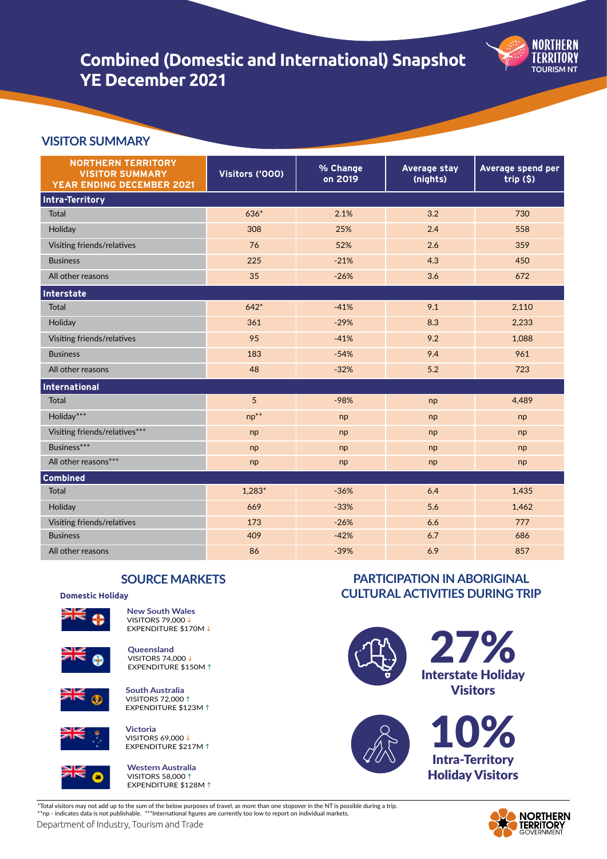### **Combined (Domestic and International) Snapshot YE December 2021**



### **VISITOR SUMMARY**

| <b>NORTHERN TERRITORY</b><br><b>VISITOR SUMMARY</b><br><b>YEAR ENDING DECEMBER 2021</b> | Visitors ('000) | % Change<br>on $2019$ | Average stay<br>(nights) | Average spend per<br>$trip$ $(5)$ |  |  |  |
|-----------------------------------------------------------------------------------------|-----------------|-----------------------|--------------------------|-----------------------------------|--|--|--|
| <b>Intra-Territory</b>                                                                  |                 |                       |                          |                                   |  |  |  |
| <b>Total</b>                                                                            | $636*$          | 2.1%                  | 3.2                      | 730                               |  |  |  |
| Holiday                                                                                 | 308             | 25%                   | 2.4                      | 558                               |  |  |  |
| Visiting friends/relatives                                                              | 76              | 52%                   | 2.6                      | 359                               |  |  |  |
| <b>Business</b>                                                                         | 225             | $-21%$                | 4.3                      | 450                               |  |  |  |
| All other reasons                                                                       | 35              | $-26%$                | 3.6                      | 672                               |  |  |  |
| Interstate                                                                              |                 |                       |                          |                                   |  |  |  |
| Total                                                                                   | $642*$          | $-41%$                | 9.1                      | 2,110                             |  |  |  |
| Holiday                                                                                 | 361             | $-29%$                | 8.3                      | 2,233                             |  |  |  |
| Visiting friends/relatives                                                              | 95              | $-41%$                | 9.2                      | 1,088                             |  |  |  |
| <b>Business</b>                                                                         | 183             | $-54%$                | 9.4                      | 961                               |  |  |  |
| All other reasons                                                                       | 48              | $-32%$                | 5.2                      | 723                               |  |  |  |
| <b>International</b>                                                                    |                 |                       |                          |                                   |  |  |  |
| <b>Total</b>                                                                            | 5               | $-98%$                | np                       | 4,489                             |  |  |  |
| Holiday***                                                                              | $np**$          | np                    | np                       | np                                |  |  |  |
| Visiting friends/relatives***                                                           | np              | np                    | np                       | np                                |  |  |  |
| Business***                                                                             | np              | np                    | np                       | np                                |  |  |  |
| All other reasons***                                                                    | np              | np                    | np                       | np                                |  |  |  |
| <b>Combined</b>                                                                         |                 |                       |                          |                                   |  |  |  |
| Total                                                                                   | $1,283*$        | $-36%$                | 6.4                      | 1,435                             |  |  |  |
| Holiday                                                                                 | 669             | $-33%$                | 5.6                      | 1,462                             |  |  |  |
| Visiting friends/relatives                                                              | 173             | $-26%$                | 6.6                      | 777                               |  |  |  |
| <b>Business</b>                                                                         | 409             | $-42%$                | 6.7                      | 686                               |  |  |  |
| All other reasons                                                                       | 86              | $-39%$                | 6.9                      | 857                               |  |  |  |

### **SOURCE MARKETS**

### **Domestic Holiday**



**New South Wales** VISITORS  $79,000 \downarrow$ EXPENDITURE \$170M  $\downarrow$ 



**Queensland** VISITORS 74,000  $\downarrow$ EXPENDITURE \$150M 1



**South Australia** VISITORS 72,000 1 EXPENDITURE \$123M 1



**Victoria** VISITORS 69,000  $\downarrow$ EXPENDITURE \$217M  $\uparrow$ 



**Western Australia** VISITORS 58,000 h EXPENDITURE \$128M 1

### **PARTICIPATION IN ABORIGINAL CULTURAL ACTIVITIES DURING TRIP**



Interstate Holiday **Visitors** 27%



Intra-Territory Holiday Visitors 10%

\*Total visitors may not add up to the sum of the below purposes of travel, as more than one stopover in the NT is possible during a trip.<br>\*\*np - indicates data is not publishable. \*\*\*International figures are currently too

Department of Industry, Tourism and Trade

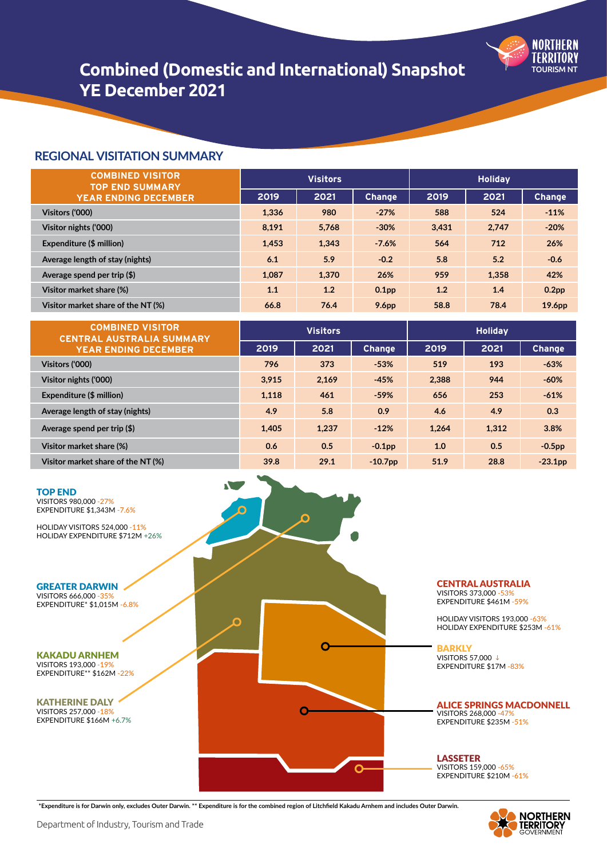

## **Combined (Domestic and International) Snapshot YE December 2021**

### **REGIONAL VISITATION SUMMARY**

| <b>COMBINED VISITOR</b><br><b>TOP END SUMMARY</b><br><b>YEAR ENDING DECEMBER</b> | <b>Visitors</b> |       |                   | <b>Holiday</b> |       |                    |
|----------------------------------------------------------------------------------|-----------------|-------|-------------------|----------------|-------|--------------------|
|                                                                                  | 2019            | 2021  | <b>Change</b>     | 2019           | 2021  | <b>Change</b>      |
| Visitors ('000)                                                                  | 1,336           | 980   | $-27%$            | 588            | 524   | $-11%$             |
| Visitor nights ('000)                                                            | 8.191           | 5.768 | $-30%$            | 3,431          | 2.747 | $-20%$             |
| Expenditure (\$ million)                                                         | 1,453           | 1,343 | $-7.6%$           | 564            | 712   | 26%                |
| Average length of stay (nights)                                                  | 6.1             | 5.9   | $-0.2$            | 5.8            | 5.2   | $-0.6$             |
| Average spend per trip $(\$)$                                                    | 1.087           | 1.370 | 26%               | 959            | 1.358 | 42%                |
| Visitor market share (%)                                                         | 1.1             | 1.2   | 0.1 <sub>pp</sub> | 1.2            | 1.4   | 0.2 <sub>pp</sub>  |
| Visitor market share of the NT (%)                                               | 66.8            | 76.4  | 9.6 <sub>pp</sub> | 58.8           | 78.4  | 19.6 <sub>pp</sub> |

| <b>COMBINED VISITOR</b><br><b>CENTRAL AUSTRALIA SUMMARY</b><br><b>YEAR ENDING DECEMBER</b> | <b>Visitors</b> |       |               | <b>Holiday</b> |       |               |
|--------------------------------------------------------------------------------------------|-----------------|-------|---------------|----------------|-------|---------------|
|                                                                                            | 2019            | 2021  | <b>Change</b> | 2019           | 2021  | <b>Change</b> |
| Visitors ('000)                                                                            | 796             | 373   | $-53%$        | 519            | 193   | $-63%$        |
| Visitor nights ('000)                                                                      | 3.915           | 2.169 | $-45%$        | 2.388          | 944   | $-60%$        |
| Expenditure (\$ million)                                                                   | 1.118           | 461   | $-59%$        | 656            | 253   | $-61%$        |
| Average length of stay (nights)                                                            | 4.9             | 5.8   | 0.9           | 4.6            | 4.9   | 0.3           |
| Average spend per trip $(\$)$                                                              | 1,405           | 1.237 | $-12%$        | 1.264          | 1,312 | 3.8%          |
| Visitor market share (%)                                                                   | 0.6             | 0.5   | $-0.1pp$      | 1.0            | 0.5   | $-0.5$ pp     |
| Visitor market share of the NT (%)                                                         | 39.8            | 29.1  | $-10.7pp$     | 51.9           | 28.8  | $-23.1pp$     |



**\*Expenditure is for Darwin only, excludes Outer Darwin. \*\* Expenditure is for the combined region of Litchfield Kakadu Arnhem and includes Outer Darwin.**